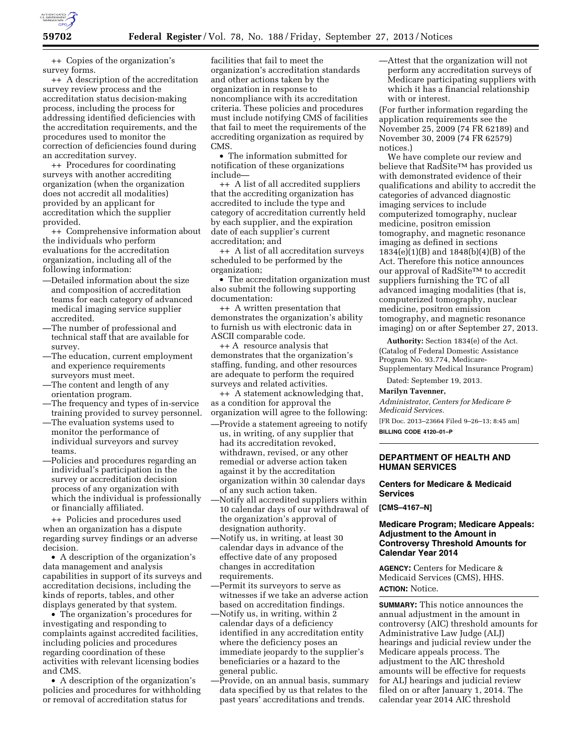

++ Copies of the organization's survey forms.

++ A description of the accreditation survey review process and the accreditation status decision-making process, including the process for addressing identified deficiencies with the accreditation requirements, and the procedures used to monitor the correction of deficiencies found during an accreditation survey.

++ Procedures for coordinating surveys with another accrediting organization (when the organization does not accredit all modalities) provided by an applicant for accreditation which the supplier provided.

++ Comprehensive information about the individuals who perform evaluations for the accreditation organization, including all of the following information:

- —Detailed information about the size and composition of accreditation teams for each category of advanced medical imaging service supplier accredited.
- —The number of professional and technical staff that are available for survey.
- —The education, current employment and experience requirements surveyors must meet.
- —The content and length of any orientation program.
- —The frequency and types of in-service training provided to survey personnel.
- —The evaluation systems used to monitor the performance of individual surveyors and survey teams.
- —Policies and procedures regarding an individual's participation in the survey or accreditation decision process of any organization with which the individual is professionally or financially affiliated.

++ Policies and procedures used when an organization has a dispute regarding survey findings or an adverse decision.

• A description of the organization's data management and analysis capabilities in support of its surveys and accreditation decisions, including the kinds of reports, tables, and other displays generated by that system.

• The organization's procedures for investigating and responding to complaints against accredited facilities, including policies and procedures regarding coordination of these activities with relevant licensing bodies and CMS.

• A description of the organization's policies and procedures for withholding or removal of accreditation status for

facilities that fail to meet the organization's accreditation standards and other actions taken by the organization in response to noncompliance with its accreditation criteria. These policies and procedures must include notifying CMS of facilities that fail to meet the requirements of the accrediting organization as required by CMS.

• The information submitted for notification of these organizations include—

++ A list of all accredited suppliers that the accrediting organization has accredited to include the type and category of accreditation currently held by each supplier, and the expiration date of each supplier's current accreditation; and

++ A list of all accreditation surveys scheduled to be performed by the organization;

• The accreditation organization must also submit the following supporting documentation:

++ A written presentation that demonstrates the organization's ability to furnish us with electronic data in ASCII comparable code.

++ A resource analysis that demonstrates that the organization's staffing, funding, and other resources are adequate to perform the required surveys and related activities.

++ A statement acknowledging that, as a condition for approval the organization will agree to the following:

- —Provide a statement agreeing to notify us, in writing, of any supplier that had its accreditation revoked, withdrawn, revised, or any other remedial or adverse action taken against it by the accreditation organization within 30 calendar days of any such action taken.
- —Notify all accredited suppliers within 10 calendar days of our withdrawal of the organization's approval of designation authority.
- —Notify us, in writing, at least 30 calendar days in advance of the effective date of any proposed changes in accreditation requirements.
- —Permit its surveyors to serve as witnesses if we take an adverse action based on accreditation findings.
- —Notify us, in writing, within 2 calendar days of a deficiency identified in any accreditation entity where the deficiency poses an immediate jeopardy to the supplier's beneficiaries or a hazard to the general public.
- —Provide, on an annual basis, summary data specified by us that relates to the past years' accreditations and trends.

—Attest that the organization will not perform any accreditation surveys of Medicare participating suppliers with which it has a financial relationship with or interest.

(For further information regarding the application requirements see the November 25, 2009 (74 FR 62189) and November 30, 2009 (74 FR 62579) notices.)

We have complete our review and believe that RadSite™ has provided us with demonstrated evidence of their qualifications and ability to accredit the categories of advanced diagnostic imaging services to include computerized tomography, nuclear medicine, positron emission tomography, and magnetic resonance imaging as defined in sections 1834(e)(1)(B) and 1848(b)(4)(B) of the Act. Therefore this notice announces our approval of RadSite™ to accredit suppliers furnishing the TC of all advanced imaging modalities (that is, computerized tomography, nuclear medicine, positron emission tomography, and magnetic resonance imaging) on or after September 27, 2013.

**Authority:** Section 1834(e) of the Act. (Catalog of Federal Domestic Assistance Program No. 93.774, Medicare-Supplementary Medical Insurance Program)

Dated: September 19, 2013.

**Marilyn Tavenner,** 

*Administrator, Centers for Medicare & Medicaid Services.* 

[FR Doc. 2013–23664 Filed 9–26–13; 8:45 am] **BILLING CODE 4120–01–P** 

# **DEPARTMENT OF HEALTH AND HUMAN SERVICES**

# **Centers for Medicare & Medicaid Services**

**[CMS–4167–N]** 

### **Medicare Program; Medicare Appeals: Adjustment to the Amount in Controversy Threshold Amounts for Calendar Year 2014**

**AGENCY:** Centers for Medicare & Medicaid Services (CMS), HHS. **ACTION:** Notice.

**SUMMARY:** This notice announces the annual adjustment in the amount in controversy (AIC) threshold amounts for Administrative Law Judge (ALJ) hearings and judicial review under the Medicare appeals process. The adjustment to the AIC threshold amounts will be effective for requests for ALJ hearings and judicial review filed on or after January 1, 2014. The calendar year 2014 AIC threshold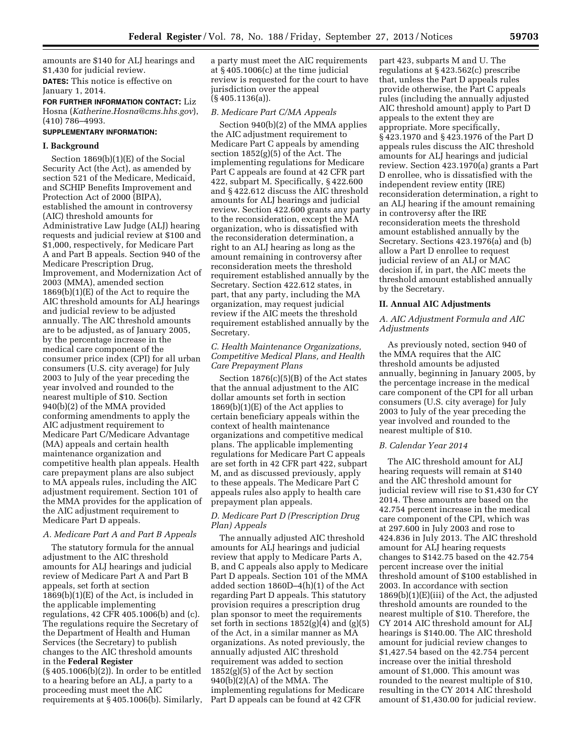amounts are \$140 for ALJ hearings and \$1,430 for judicial review.

**DATES:** This notice is effective on January 1, 2014.

**FOR FURTHER INFORMATION CONTACT:** Liz Hosna (*[Katherine.Hosna@cms.hhs.gov](mailto:Katherine.Hosna@cms.hhs.gov)*), (410) 786–4993.

## **SUPPLEMENTARY INFORMATION:**

### **I. Background**

Section 1869(b)(1)(E) of the Social Security Act (the Act), as amended by section 521 of the Medicare, Medicaid, and SCHIP Benefits Improvement and Protection Act of 2000 (BIPA), established the amount in controversy (AIC) threshold amounts for Administrative Law Judge (ALJ) hearing requests and judicial review at \$100 and \$1,000, respectively, for Medicare Part A and Part B appeals. Section 940 of the Medicare Prescription Drug, Improvement, and Modernization Act of 2003 (MMA), amended section 1869(b)(1)(E) of the Act to require the AIC threshold amounts for ALJ hearings and judicial review to be adjusted annually. The AIC threshold amounts are to be adjusted, as of January 2005, by the percentage increase in the medical care component of the consumer price index (CPI) for all urban consumers (U.S. city average) for July 2003 to July of the year preceding the year involved and rounded to the nearest multiple of \$10. Section 940(b)(2) of the MMA provided conforming amendments to apply the AIC adjustment requirement to Medicare Part C/Medicare Advantage (MA) appeals and certain health maintenance organization and competitive health plan appeals. Health care prepayment plans are also subject to MA appeals rules, including the AIC adjustment requirement. Section 101 of the MMA provides for the application of the AIC adjustment requirement to Medicare Part D appeals.

#### *A. Medicare Part A and Part B Appeals*

The statutory formula for the annual adjustment to the AIC threshold amounts for ALJ hearings and judicial review of Medicare Part A and Part B appeals, set forth at section 1869(b)(1)(E) of the Act, is included in the applicable implementing regulations, 42 CFR 405.1006(b) and (c). The regulations require the Secretary of the Department of Health and Human Services (the Secretary) to publish changes to the AIC threshold amounts in the **Federal Register** 

(§ 405.1006(b)(2)). In order to be entitled to a hearing before an ALJ, a party to a proceeding must meet the AIC requirements at § 405.1006(b). Similarly, a party must meet the AIC requirements at § 405.1006(c) at the time judicial review is requested for the court to have jurisdiction over the appeal (§ 405.1136(a)).

#### *B. Medicare Part C/MA Appeals*

Section 940(b)(2) of the MMA applies the AIC adjustment requirement to Medicare Part C appeals by amending section 1852(g)(5) of the Act. The implementing regulations for Medicare Part C appeals are found at 42 CFR part 422, subpart M. Specifically, § 422.600 and § 422.612 discuss the AIC threshold amounts for ALJ hearings and judicial review. Section 422.600 grants any party to the reconsideration, except the MA organization, who is dissatisfied with the reconsideration determination, a right to an ALJ hearing as long as the amount remaining in controversy after reconsideration meets the threshold requirement established annually by the Secretary. Section 422.612 states, in part, that any party, including the MA organization, may request judicial review if the AIC meets the threshold requirement established annually by the Secretary.

# *C. Health Maintenance Organizations, Competitive Medical Plans, and Health Care Prepayment Plans*

Section 1876(c)(5)(B) of the Act states that the annual adjustment to the AIC dollar amounts set forth in section 1869(b)(1)(E) of the Act applies to certain beneficiary appeals within the context of health maintenance organizations and competitive medical plans. The applicable implementing regulations for Medicare Part C appeals are set forth in 42 CFR part 422, subpart M, and as discussed previously, apply to these appeals. The Medicare Part C appeals rules also apply to health care prepayment plan appeals.

## *D. Medicare Part D (Prescription Drug Plan) Appeals*

The annually adjusted AIC threshold amounts for ALJ hearings and judicial review that apply to Medicare Parts A, B, and C appeals also apply to Medicare Part D appeals. Section 101 of the MMA added section 1860D–4(h)(1) of the Act regarding Part D appeals. This statutory provision requires a prescription drug plan sponsor to meet the requirements set forth in sections  $1852(g)(4)$  and  $(g)(5)$ of the Act, in a similar manner as MA organizations. As noted previously, the annually adjusted AIC threshold requirement was added to section 1852(g)(5) of the Act by section 940(b)(2)(A) of the MMA. The implementing regulations for Medicare Part D appeals can be found at 42 CFR

part 423, subparts M and U. The regulations at § 423.562(c) prescribe that, unless the Part D appeals rules provide otherwise, the Part C appeals rules (including the annually adjusted AIC threshold amount) apply to Part D appeals to the extent they are appropriate. More specifically, § 423.1970 and § 423.1976 of the Part D appeals rules discuss the AIC threshold amounts for ALJ hearings and judicial review. Section 423.1970(a) grants a Part D enrollee, who is dissatisfied with the independent review entity (IRE) reconsideration determination, a right to an ALJ hearing if the amount remaining in controversy after the IRE reconsideration meets the threshold amount established annually by the Secretary. Sections 423.1976(a) and (b) allow a Part D enrollee to request judicial review of an ALJ or MAC decision if, in part, the AIC meets the threshold amount established annually by the Secretary.

#### **II. Annual AIC Adjustments**

## *A. AIC Adjustment Formula and AIC Adjustments*

As previously noted, section 940 of the MMA requires that the AIC threshold amounts be adjusted annually, beginning in January 2005, by the percentage increase in the medical care component of the CPI for all urban consumers (U.S. city average) for July 2003 to July of the year preceding the year involved and rounded to the nearest multiple of \$10.

## *B. Calendar Year 2014*

The AIC threshold amount for ALJ hearing requests will remain at \$140 and the AIC threshold amount for judicial review will rise to \$1,430 for CY 2014. These amounts are based on the 42.754 percent increase in the medical care component of the CPI, which was at 297.600 in July 2003 and rose to 424.836 in July 2013. The AIC threshold amount for ALJ hearing requests changes to \$142.75 based on the 42.754 percent increase over the initial threshold amount of \$100 established in 2003. In accordance with section 1869(b)(1)(E)(iii) of the Act, the adjusted threshold amounts are rounded to the nearest multiple of \$10. Therefore, the CY 2014 AIC threshold amount for ALJ hearings is \$140.00. The AIC threshold amount for judicial review changes to \$1,427.54 based on the 42.754 percent increase over the initial threshold amount of \$1,000. This amount was rounded to the nearest multiple of \$10, resulting in the CY 2014 AIC threshold amount of \$1,430.00 for judicial review.